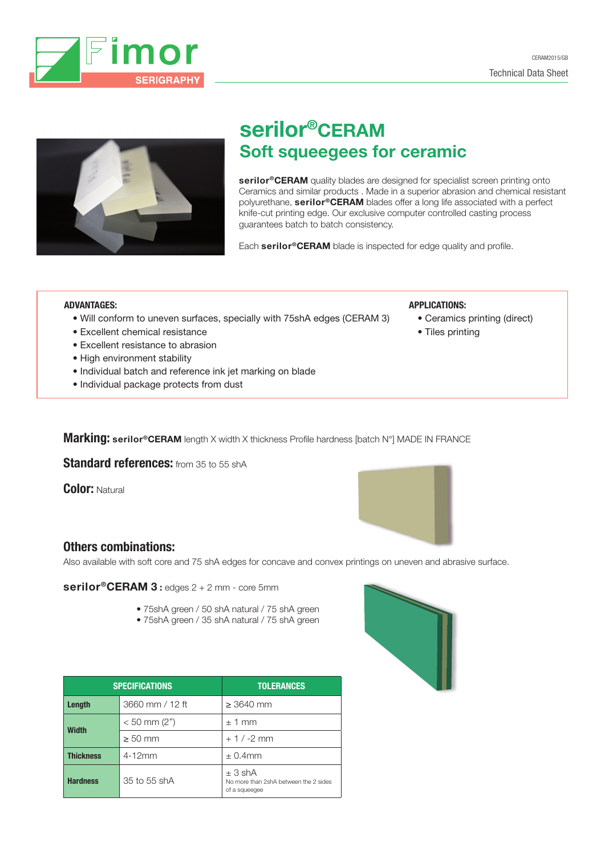



# serilor®CERAM Soft squeegees for ceramic

serilor<sup>®</sup>CERAM quality blades are designed for specialist screen printing onto Ceramics and similar products . Made in a superior abrasion and chemical resistant polyurethane, serilor®CERAM blades offer a long life associated with a perfect knife-cut printing edge. Our exclusive computer controlled casting process guarantees batch to batch consistency.

APPLICATIONS:

• Tiles printing

• Ceramics printing (direct)

Each serilor®CERAM blade is inspected for edge quality and profile.

#### ADVANTAGES:

- Will conform to uneven surfaces, specially with 75shA edges (CERAM 3)
- Excellent chemical resistance
- Excellent resistance to abrasion
- High environment stability
- Individual batch and reference ink jet marking on blade
- Individual package protects from dust

Marking: serilor®CERAM length X width X thickness Profile hardness [batch N°] MADE IN FRANCE

Standard references: from 35 to 55 shA

Color: Natural



### Others combinations:

Also available with soft core and 75 shA edges for concave and convex printings on uneven and abrasive surface.

serilor®CERAM 3 : edges 2 + 2 mm - core 5mm

- 75shA green / 50 shA natural / 75 shA green
- 75shA green / 35 shA natural / 75 shA green

| <b>SPECIFICATIONS</b> |                 | <b>TOLERANCES</b>                                                 |  |
|-----------------------|-----------------|-------------------------------------------------------------------|--|
| Length                | 3660 mm / 12 ft | $\geq$ 3640 mm                                                    |  |
| <b>Width</b>          | $< 50$ mm (2")  | $±1$ mm                                                           |  |
|                       | $\geq 50$ mm    | $+1/ -2$ mm                                                       |  |
| <b>Thickness</b>      | $4-12mm$        | $\pm$ 0.4mm                                                       |  |
| <b>Hardness</b>       | 35 to 55 shA    | ± 3 shA<br>No more than 2shA between the 2 sides<br>of a squeegee |  |